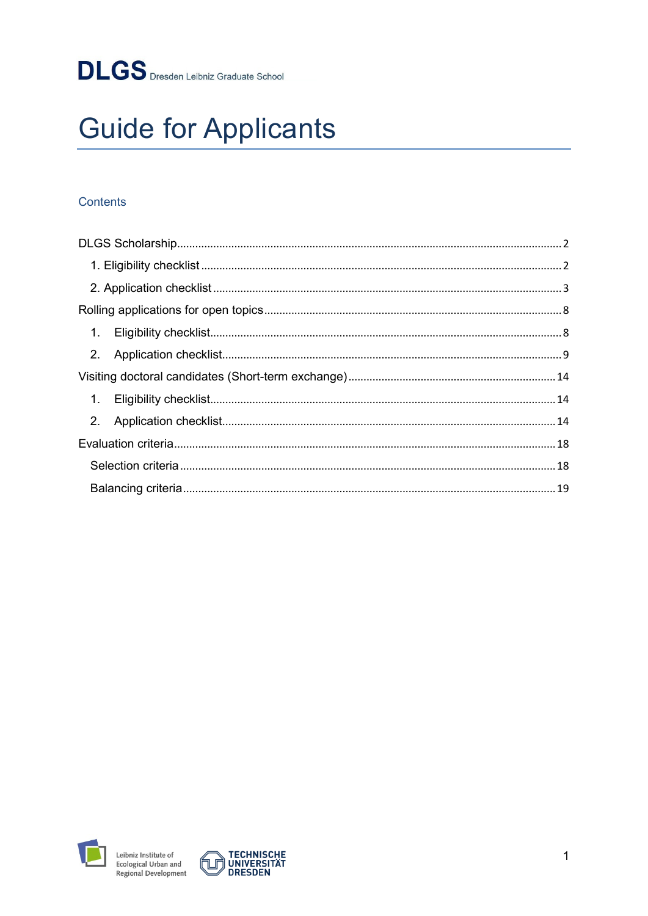# **Guide for Applicants**

## Contents



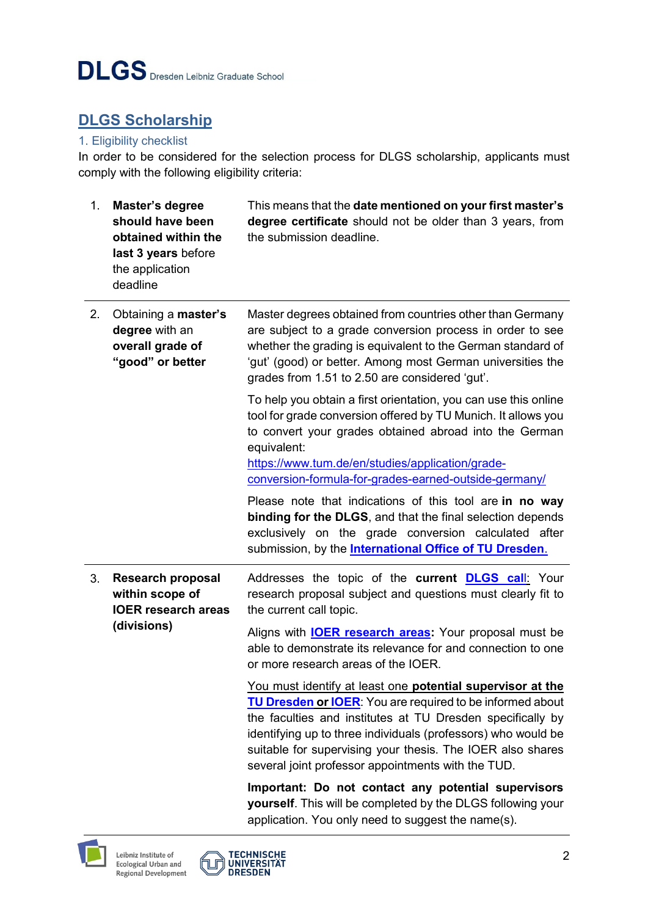# <span id="page-1-0"></span>**DLGS Scholarship**

#### <span id="page-1-1"></span>1. Eligibility checklist

In order to be considered for the selection process for DLGS scholarship, applicants must comply with the following eligibility criteria:

| 1. | Master's degree<br>should have been<br>obtained within the<br>last 3 years before<br>the application<br>deadline | This means that the date mentioned on your first master's<br>degree certificate should not be older than 3 years, from<br>the submission deadline.                                                                                                                                                                                                                                |
|----|------------------------------------------------------------------------------------------------------------------|-----------------------------------------------------------------------------------------------------------------------------------------------------------------------------------------------------------------------------------------------------------------------------------------------------------------------------------------------------------------------------------|
| 2. | Obtaining a master's<br>degree with an<br>overall grade of<br>"good" or better                                   | Master degrees obtained from countries other than Germany<br>are subject to a grade conversion process in order to see<br>whether the grading is equivalent to the German standard of<br>'gut' (good) or better. Among most German universities the<br>grades from 1.51 to 2.50 are considered 'gut'.                                                                             |
|    |                                                                                                                  | To help you obtain a first orientation, you can use this online<br>tool for grade conversion offered by TU Munich. It allows you<br>to convert your grades obtained abroad into the German<br>equivalent:<br>https://www.tum.de/en/studies/application/grade-<br>conversion-formula-for-grades-earned-outside-germany/                                                            |
|    |                                                                                                                  | Please note that indications of this tool are in no way<br>binding for the DLGS, and that the final selection depends<br>exclusively on the grade conversion calculated after<br>submission, by the <b>International Office of TU Dresden</b> .                                                                                                                                   |
| 3. | <b>Research proposal</b><br>within scope of<br><b>IOER research areas</b><br>(divisions)                         | Addresses the topic of the current <b>DLGS call:</b> Your<br>research proposal subject and questions must clearly fit to<br>the current call topic.<br>Aligns with <b>IOER research areas:</b> Your proposal must be<br>able to demonstrate its relevance for and connection to one<br>or more research areas of the IOER.                                                        |
|    |                                                                                                                  | You must identify at least one potential supervisor at the<br><b>TU Dresden or IOER:</b> You are required to be informed about<br>the faculties and institutes at TU Dresden specifically by<br>identifying up to three individuals (professors) who would be<br>suitable for supervising your thesis. The IOER also shares<br>several joint professor appointments with the TUD. |
|    |                                                                                                                  | Important: Do not contact any potential supervisors<br>yourself. This will be completed by the DLGS following your<br>application. You only need to suggest the name(s).                                                                                                                                                                                                          |



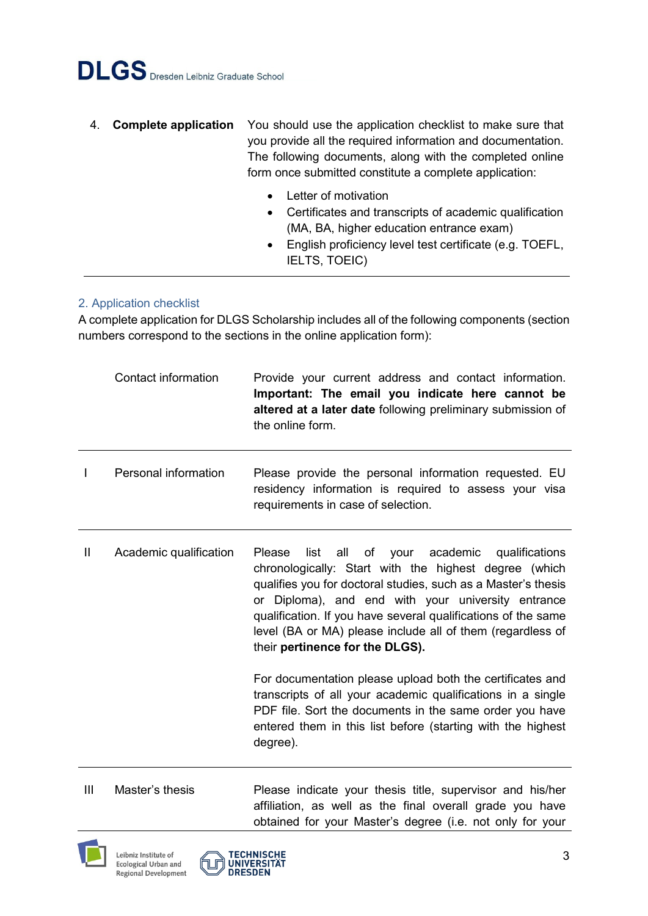- 4. **Complete application** You should use the application checklist to make sure that you provide all the required information and documentation. The following documents, along with the completed online form once submitted constitute a complete application:
	- Letter of motivation
	- Certificates and transcripts of academic qualification (MA, BA, higher education entrance exam)
	- English proficiency level test certificate (e.g. TOEFL, IELTS, TOEIC)

#### <span id="page-2-0"></span>2. Application checklist

A complete application for DLGS Scholarship includes all of the following components (section numbers correspond to the sections in the online application form):

|   | Contact information    | Provide your current address and contact information.<br>Important: The email you indicate here cannot be<br>altered at a later date following preliminary submission of<br>the online form.                                                                                                                                                                                                                  |
|---|------------------------|---------------------------------------------------------------------------------------------------------------------------------------------------------------------------------------------------------------------------------------------------------------------------------------------------------------------------------------------------------------------------------------------------------------|
| L | Personal information   | Please provide the personal information requested. EU<br>residency information is required to assess your visa<br>requirements in case of selection.                                                                                                                                                                                                                                                          |
| Ш | Academic qualification | Please<br>all of<br>your academic<br>qualifications<br>list<br>chronologically: Start with the highest degree (which<br>qualifies you for doctoral studies, such as a Master's thesis<br>or Diploma), and end with your university entrance<br>qualification. If you have several qualifications of the same<br>level (BA or MA) please include all of them (regardless of<br>their pertinence for the DLGS). |
|   |                        | For documentation please upload both the certificates and<br>transcripts of all your academic qualifications in a single<br>PDF file. Sort the documents in the same order you have<br>entered them in this list before (starting with the highest<br>degree).                                                                                                                                                |

III Master's thesis Please indicate your thesis title, supervisor and his/her affiliation, as well as the final overall grade you have obtained for your Master's degree (i.e. not only for your



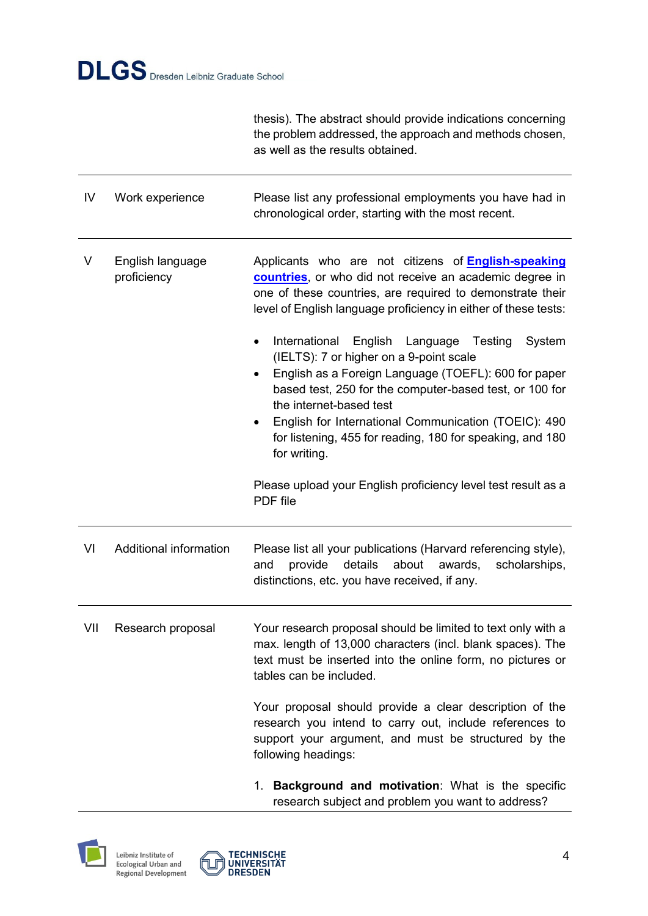thesis). The abstract should provide indications concerning the problem addressed, the approach and methods chosen, as well as the results obtained.

| IV  | Work experience                 | Please list any professional employments you have had in<br>chronological order, starting with the most recent.                                                                                                                                                                                                                                                                                                                                                                          |
|-----|---------------------------------|------------------------------------------------------------------------------------------------------------------------------------------------------------------------------------------------------------------------------------------------------------------------------------------------------------------------------------------------------------------------------------------------------------------------------------------------------------------------------------------|
| V   | English language<br>proficiency | Applicants who are not citizens of <b>English-speaking</b><br>countries, or who did not receive an academic degree in<br>one of these countries, are required to demonstrate their<br>level of English language proficiency in either of these tests:                                                                                                                                                                                                                                    |
|     |                                 | International<br>English Language Testing<br>System<br>$\bullet$<br>(IELTS): 7 or higher on a 9-point scale<br>English as a Foreign Language (TOEFL): 600 for paper<br>$\bullet$<br>based test, 250 for the computer-based test, or 100 for<br>the internet-based test<br>English for International Communication (TOEIC): 490<br>for listening, 455 for reading, 180 for speaking, and 180<br>for writing.<br>Please upload your English proficiency level test result as a<br>PDF file |
| VI  | Additional information          | Please list all your publications (Harvard referencing style),<br>provide<br>details<br>about<br>awards,<br>scholarships,<br>and<br>distinctions, etc. you have received, if any.                                                                                                                                                                                                                                                                                                        |
| VII | Research proposal               | Your research proposal should be limited to text only with a<br>max. length of 13,000 characters (incl. blank spaces). The<br>text must be inserted into the online form, no pictures or<br>tables can be included.                                                                                                                                                                                                                                                                      |
|     |                                 | Your proposal should provide a clear description of the<br>research you intend to carry out, include references to<br>support your argument, and must be structured by the<br>following headings:                                                                                                                                                                                                                                                                                        |

1. **Background and motivation**: What is the specific research subject and problem you want to address?



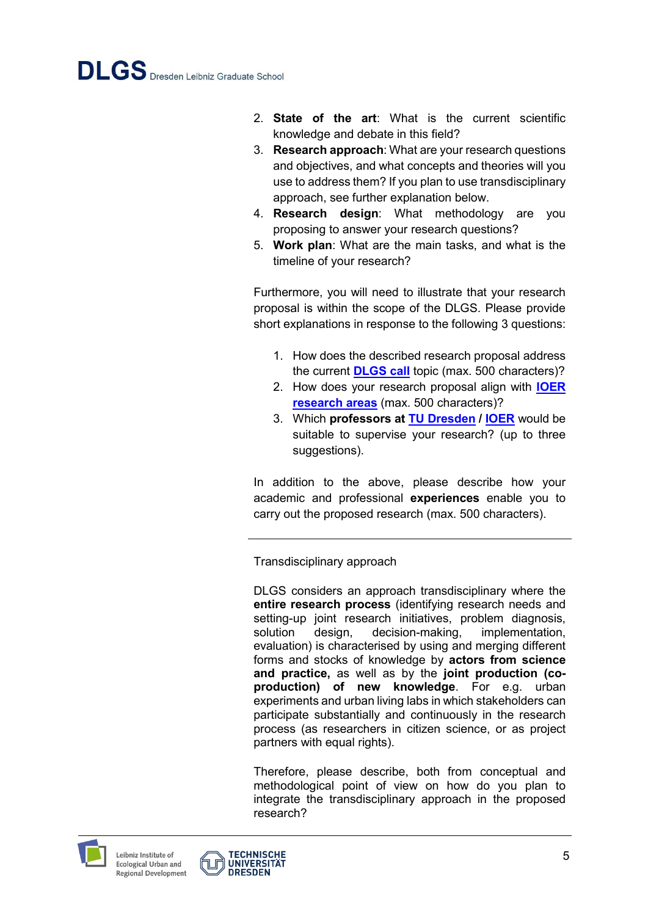- 2. **State of the art**: What is the current scientific knowledge and debate in this field?
- 3. **Research approach**: What are your research questions and objectives, and what concepts and theories will you use to address them? If you plan to use transdisciplinary approach, see further explanation below.
- 4. **Research design**: What methodology are you proposing to answer your research questions?
- 5. **Work plan**: What are the main tasks, and what is the timeline of your research?

Furthermore, you will need to illustrate that your research proposal is within the scope of the DLGS. Please provide short explanations in response to the following 3 questions:

- 1. How does the described research proposal address the current **[DLGS call](http://www.dlgs-dresden.de/application)** topic (max. 500 characters)?
- 2. How does your research proposal align with **[IOER](https://www.ioer.de/en/research)  [research areas](https://www.ioer.de/en/research)** (max. 500 characters)?
- 3. Which **professors at [TU Dresden](https://tu-dresden.de/?set_language=en) / [IOER](https://www.ioer.de/1/ioer-overview/staff/)** would be suitable to supervise your research? (up to three suggestions).

In addition to the above, please describe how your academic and professional **experiences** enable you to carry out the proposed research (max. 500 characters).

Transdisciplinary approach

DLGS considers an approach transdisciplinary where the **entire research process** (identifying research needs and setting-up joint research initiatives, problem diagnosis, solution design, decision-making, implementation, evaluation) is characterised by using and merging different forms and stocks of knowledge by **actors from science and practice,** as well as by the **joint production (coproduction) of new knowledge**. For e.g. urban experiments and urban living labs in which stakeholders can participate substantially and continuously in the research process (as researchers in citizen science, or as project partners with equal rights).

Therefore, please describe, both from conceptual and methodological point of view on how do you plan to integrate the transdisciplinary approach in the proposed research?



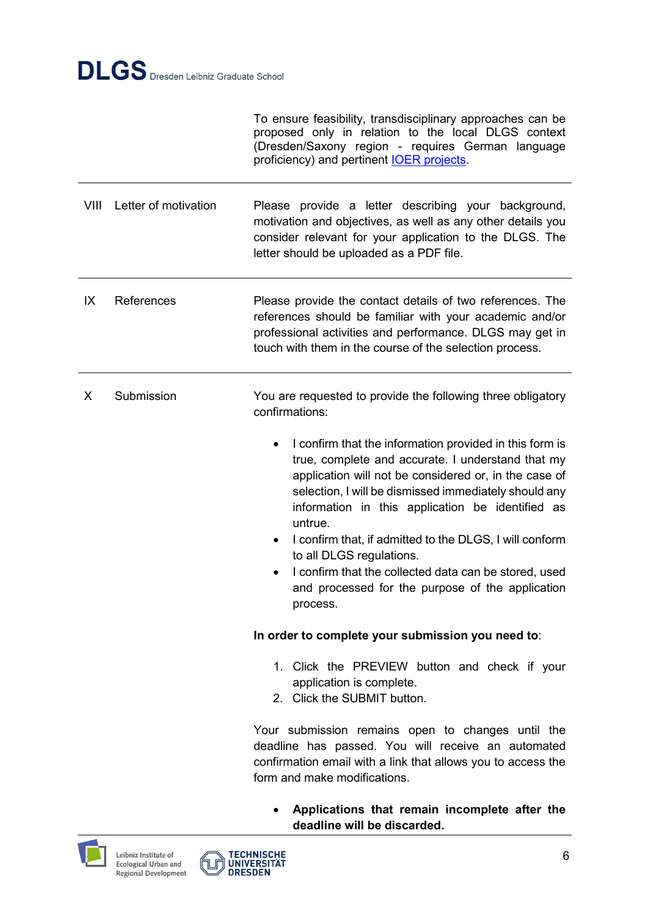To ensure feasibility, transdisciplinary approaches can be proposed only in relation to the local DLGS context (Dresden/Saxony region - requires German language proficiency) and pertinent [IOER projects.](https://www.ioer.de/en/research)

VIII Letter of motivation Please provide a letter describing your background, motivation and objectives, as well as any other details you consider relevant for your application to the DLGS. The letter should be uploaded as a PDF file.

IX References Please provide the contact details of two references. The references should be familiar with your academic and/or professional activities and performance. DLGS may get in touch with them in the course of the selection process.

- X Submission You are requested to provide the following three obligatory confirmations:
	- I confirm that the information provided in this form is true, complete and accurate. I understand that my application will not be considered or, in the case of selection, I will be dismissed immediately should any information in this application be identified as untrue.
	- I confirm that, if admitted to the DLGS, I will conform to all DLGS regulations.
	- I confirm that the collected data can be stored, used and processed for the purpose of the application process.

#### **In order to complete your submission you need to**:

- 1. Click the PREVIEW button and check if your application is complete.
- 2. Click the SUBMIT button.

Your submission remains open to changes until the deadline has passed. You will receive an automated confirmation email with a link that allows you to access the form and make modifications.

 **Applications that remain incomplete after the deadline will be discarded.**





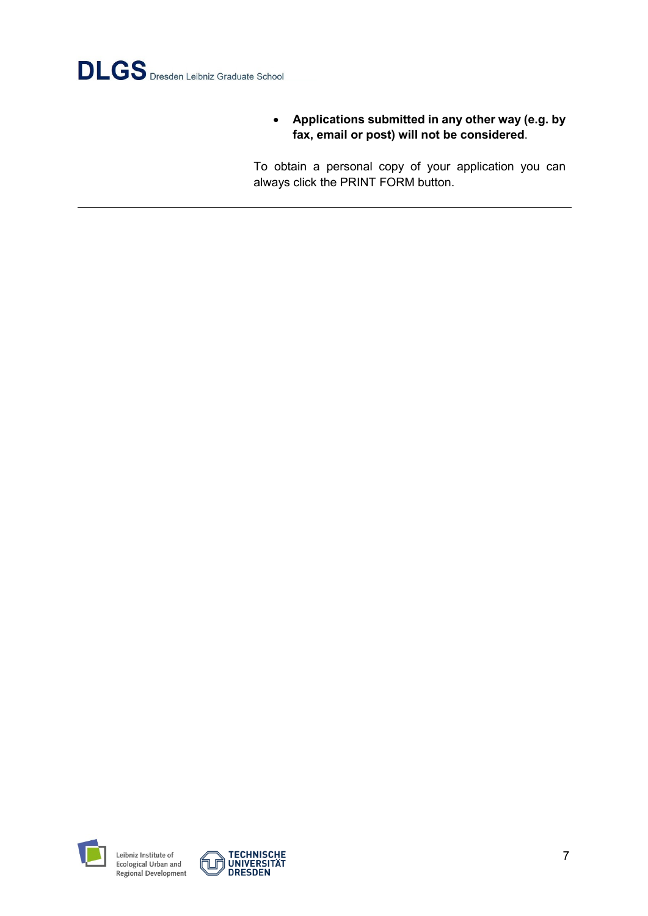

 **Applications submitted in any other way (e.g. by fax, email or post) will not be considered**.

To obtain a personal copy of your application you can always click the PRINT FORM button.



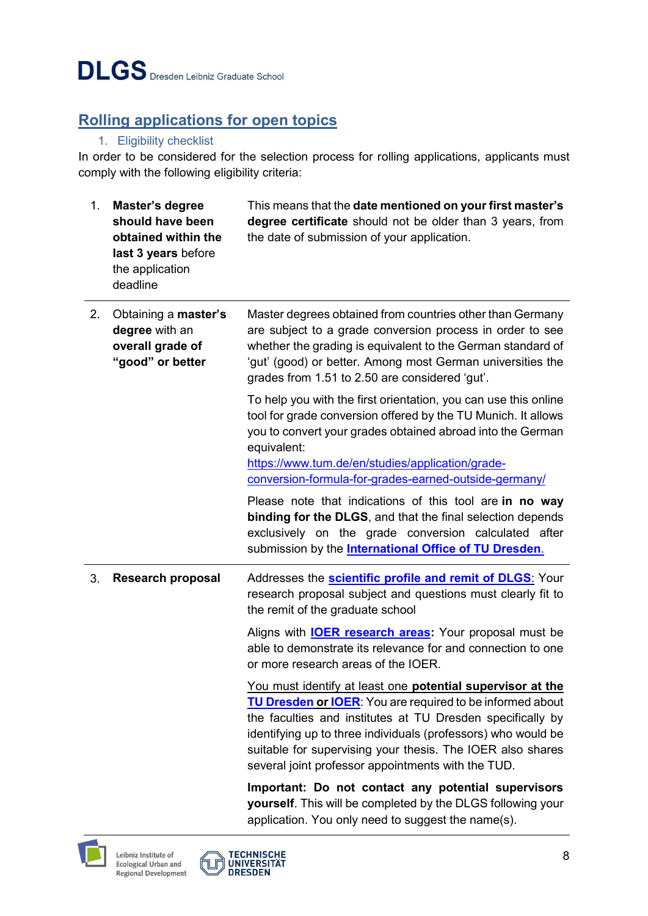# <span id="page-7-0"></span>**Rolling applications for open topics**

## 1. Eligibility checklist

<span id="page-7-1"></span>In order to be considered for the selection process for rolling applications, applicants must comply with the following eligibility criteria:

| 1 <sub>1</sub> | Master's degree<br>should have been<br>obtained within the<br>last 3 years before<br>the application<br>deadline | This means that the date mentioned on your first master's<br>degree certificate should not be older than 3 years, from<br>the date of submission of your application.                                                                                                                                                                                                             |
|----------------|------------------------------------------------------------------------------------------------------------------|-----------------------------------------------------------------------------------------------------------------------------------------------------------------------------------------------------------------------------------------------------------------------------------------------------------------------------------------------------------------------------------|
| 2.             | Obtaining a master's<br>degree with an<br>overall grade of<br>"good" or better                                   | Master degrees obtained from countries other than Germany<br>are subject to a grade conversion process in order to see<br>whether the grading is equivalent to the German standard of<br>'gut' (good) or better. Among most German universities the<br>grades from 1.51 to 2.50 are considered 'gut'.                                                                             |
|                |                                                                                                                  | To help you with the first orientation, you can use this online<br>tool for grade conversion offered by the TU Munich. It allows<br>you to convert your grades obtained abroad into the German<br>equivalent:<br>https://www.tum.de/en/studies/application/grade-<br>conversion-formula-for-grades-earned-outside-germany/                                                        |
|                |                                                                                                                  | Please note that indications of this tool are in no way<br>binding for the DLGS, and that the final selection depends<br>exclusively on the grade conversion calculated after<br>submission by the <b>International Office of TU Dresden</b> .                                                                                                                                    |
| 3.             | <b>Research proposal</b>                                                                                         | Addresses the <b>scientific profile and remit of DLGS</b> . Your<br>research proposal subject and questions must clearly fit to<br>the remit of the graduate school                                                                                                                                                                                                               |
|                |                                                                                                                  | Aligns with <b>IOER research areas:</b> Your proposal must be<br>able to demonstrate its relevance for and connection to one<br>or more research areas of the IOER.                                                                                                                                                                                                               |
|                |                                                                                                                  | You must identify at least one potential supervisor at the<br><b>TU Dresden or IOER:</b> You are required to be informed about<br>the faculties and institutes at TU Dresden specifically by<br>identifying up to three individuals (professors) who would be<br>suitable for supervising your thesis. The IOER also shares<br>several joint professor appointments with the TUD. |
|                |                                                                                                                  | Important: Do not contact any potential supervisors<br>yourself. This will be completed by the DLGS following your<br>application. You only need to suggest the name(s).                                                                                                                                                                                                          |



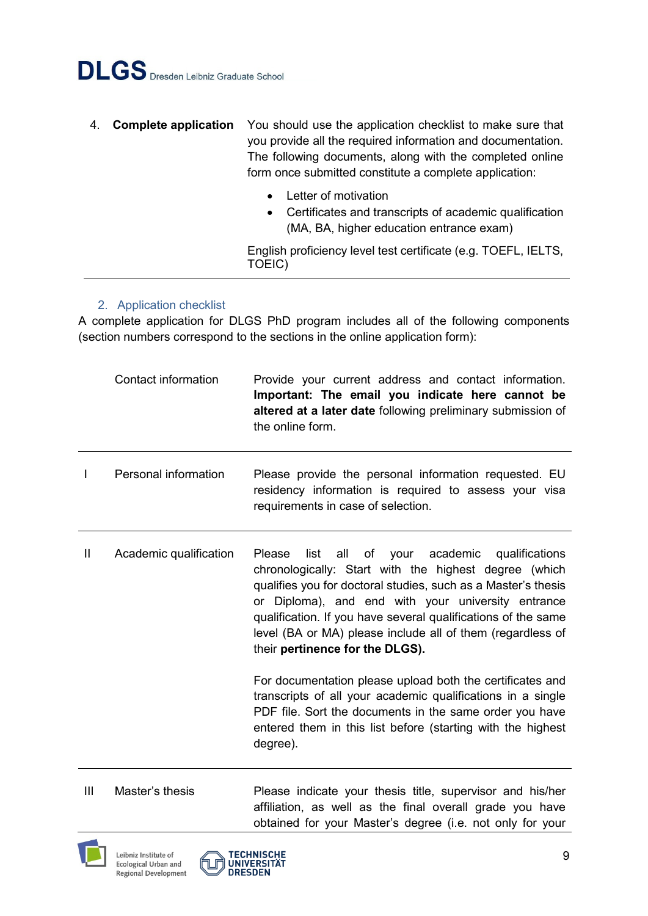- 4. **Complete application** You should use the application checklist to make sure that you provide all the required information and documentation. The following documents, along with the completed online form once submitted constitute a complete application:
	- Letter of motivation
	- Certificates and transcripts of academic qualification (MA, BA, higher education entrance exam)

English proficiency level test certificate (e.g. TOEFL, IELTS, TOEIC)

#### 2. Application checklist

<span id="page-8-0"></span>A complete application for DLGS PhD program includes all of the following components (section numbers correspond to the sections in the online application form):

|              | Contact information    | Provide your current address and contact information.<br>Important: The email you indicate here cannot be<br>altered at a later date following preliminary submission of<br>the online form.                                                                                                                                                                                                                      |
|--------------|------------------------|-------------------------------------------------------------------------------------------------------------------------------------------------------------------------------------------------------------------------------------------------------------------------------------------------------------------------------------------------------------------------------------------------------------------|
|              | Personal information   | Please provide the personal information requested. EU<br>residency information is required to assess your visa<br>requirements in case of selection.                                                                                                                                                                                                                                                              |
| $\mathbf{I}$ | Academic qualification | of your academic qualifications<br>list<br>all<br><b>Please</b><br>chronologically: Start with the highest degree (which<br>qualifies you for doctoral studies, such as a Master's thesis<br>or Diploma), and end with your university entrance<br>qualification. If you have several qualifications of the same<br>level (BA or MA) please include all of them (regardless of<br>their pertinence for the DLGS). |
|              |                        | For documentation please upload both the certificates and<br>transcripts of all your academic qualifications in a single<br>PDF file. Sort the documents in the same order you have<br>entered them in this list before (starting with the highest<br>degree).                                                                                                                                                    |

III Master's thesis Please indicate your thesis title, supervisor and his/her affiliation, as well as the final overall grade you have obtained for your Master's degree (i.e. not only for your



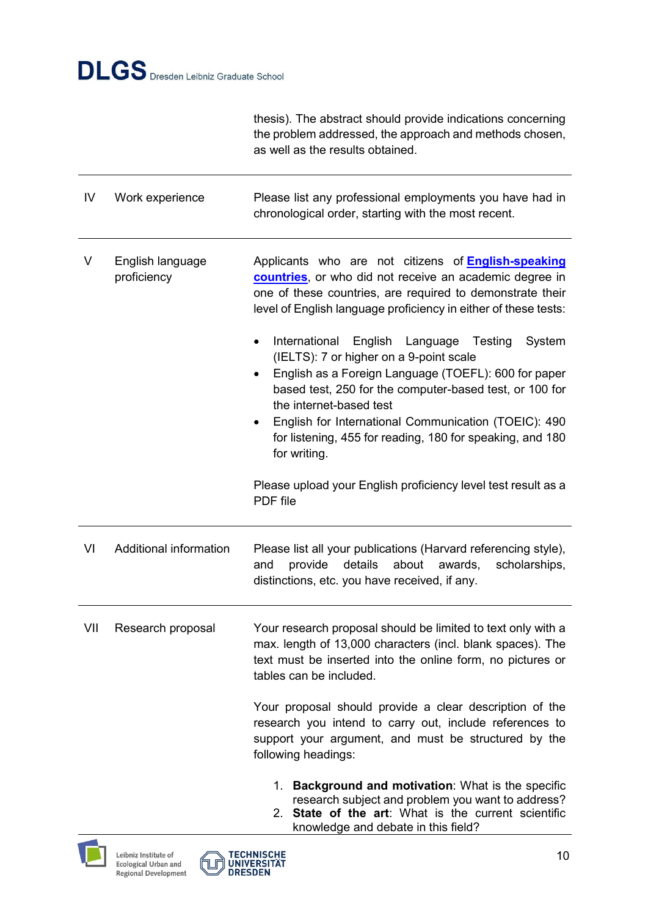thesis). The abstract should provide indications concerning the problem addressed, the approach and methods chosen, as well as the results obtained.

| IV  | Work experience                 | Please list any professional employments you have had in<br>chronological order, starting with the most recent.                                                                                                                                                                                                                                                                   |
|-----|---------------------------------|-----------------------------------------------------------------------------------------------------------------------------------------------------------------------------------------------------------------------------------------------------------------------------------------------------------------------------------------------------------------------------------|
| V   | English language<br>proficiency | Applicants who are not citizens of <b>English-speaking</b><br>countries, or who did not receive an academic degree in<br>one of these countries, are required to demonstrate their<br>level of English language proficiency in either of these tests:                                                                                                                             |
|     |                                 | International<br>English Language Testing<br>System<br>(IELTS): 7 or higher on a 9-point scale<br>English as a Foreign Language (TOEFL): 600 for paper<br>based test, 250 for the computer-based test, or 100 for<br>the internet-based test<br>English for International Communication (TOEIC): 490<br>for listening, 455 for reading, 180 for speaking, and 180<br>for writing. |
|     |                                 | Please upload your English proficiency level test result as a<br>PDF file                                                                                                                                                                                                                                                                                                         |
| VI  | Additional information          | Please list all your publications (Harvard referencing style),<br>provide<br>details<br>about<br>awards,<br>and<br>scholarships,<br>distinctions, etc. you have received, if any.                                                                                                                                                                                                 |
| VII | Research proposal               | Your research proposal should be limited to text only with a<br>max. length of 13,000 characters (incl. blank spaces). The<br>text must be inserted into the online form, no pictures or<br>tables can be included.                                                                                                                                                               |
|     |                                 | Your proposal should provide a clear description of the<br>research you intend to carry out, include references to<br>support your argument, and must be structured by the<br>following headings:                                                                                                                                                                                 |
|     |                                 |                                                                                                                                                                                                                                                                                                                                                                                   |

- 1. **Background and motivation**: What is the specific research subject and problem you want to address?
- 2. **State of the art**: What is the current scientific knowledge and debate in this field?



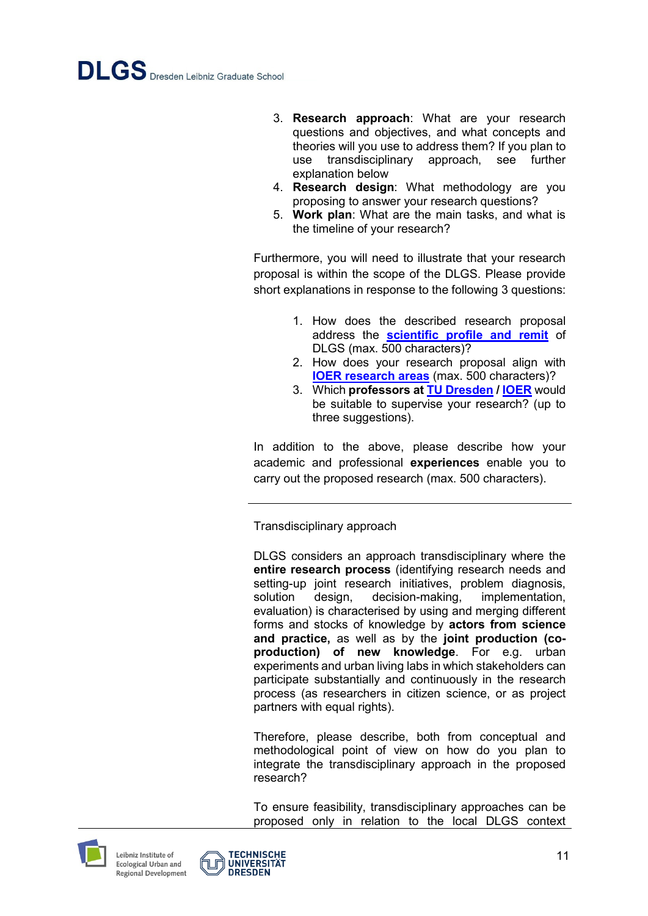- 3. **Research approach**: What are your research questions and objectives, and what concepts and theories will you use to address them? If you plan to use transdisciplinary approach, see further explanation below
- 4. **Research design**: What methodology are you proposing to answer your research questions?
- 5. **Work plan**: What are the main tasks, and what is the timeline of your research?

Furthermore, you will need to illustrate that your research proposal is within the scope of the DLGS. Please provide short explanations in response to the following 3 questions:

- 1. How does the described research proposal address the **[scientific profile and remit](http://www.dlgs-dresden.de/concept/scientific-profile-and-remit)** of DLGS (max. 500 characters)?
- 2. How does your research proposal align with **[IOER research areas](https://www.ioer.de/en/research)** (max. 500 characters)?
- 3. Which **professors at [TU Dresden](https://tu-dresden.de/?set_language=en) [/ IOER](https://www.ioer.de/1/ioer-overview/staff/)** would be suitable to supervise your research? (up to three suggestions).

In addition to the above, please describe how your academic and professional **experiences** enable you to carry out the proposed research (max. 500 characters).

Transdisciplinary approach

DLGS considers an approach transdisciplinary where the **entire research process** (identifying research needs and setting-up joint research initiatives, problem diagnosis, solution design, decision-making, implementation, evaluation) is characterised by using and merging different forms and stocks of knowledge by **actors from science and practice,** as well as by the **joint production (coproduction) of new knowledge**. For e.g. urban experiments and urban living labs in which stakeholders can participate substantially and continuously in the research process (as researchers in citizen science, or as project partners with equal rights).

Therefore, please describe, both from conceptual and methodological point of view on how do you plan to integrate the transdisciplinary approach in the proposed research?

To ensure feasibility, transdisciplinary approaches can be proposed only in relation to the local DLGS context





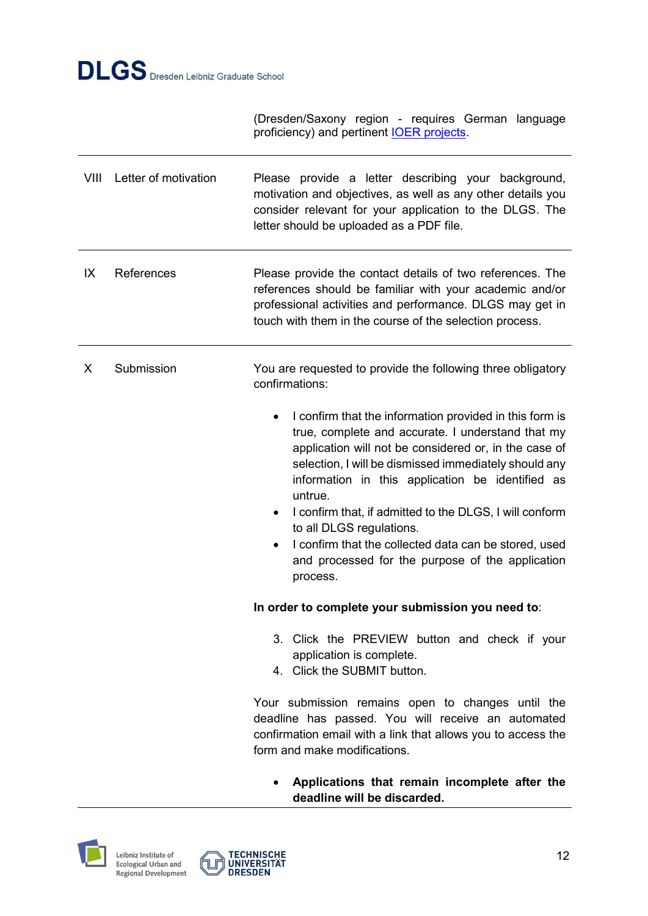(Dresden/Saxony region - requires German language proficiency) and pertinent **IOER** projects.

| VIII | Letter of motivation | Please provide a letter describing your background,<br>motivation and objectives, as well as any other details you<br>consider relevant for your application to the DLGS. The<br>letter should be uploaded as a PDF file.                                                                                                                                                                                                                                                                                                       |
|------|----------------------|---------------------------------------------------------------------------------------------------------------------------------------------------------------------------------------------------------------------------------------------------------------------------------------------------------------------------------------------------------------------------------------------------------------------------------------------------------------------------------------------------------------------------------|
| IX   | References           | Please provide the contact details of two references. The<br>references should be familiar with your academic and/or<br>professional activities and performance. DLGS may get in<br>touch with them in the course of the selection process.                                                                                                                                                                                                                                                                                     |
| X    | Submission           | You are requested to provide the following three obligatory<br>confirmations:                                                                                                                                                                                                                                                                                                                                                                                                                                                   |
|      |                      | I confirm that the information provided in this form is<br>true, complete and accurate. I understand that my<br>application will not be considered or, in the case of<br>selection, I will be dismissed immediately should any<br>information in this application be identified as<br>untrue.<br>I confirm that, if admitted to the DLGS, I will conform<br>٠<br>to all DLGS regulations.<br>I confirm that the collected data can be stored, used<br>$\bullet$<br>and processed for the purpose of the application<br>process. |
|      |                      | In order to complete your submission you need to:                                                                                                                                                                                                                                                                                                                                                                                                                                                                               |
|      |                      | 3. Click the PREVIEW button and check if your<br>application is complete.<br>4. Click the SUBMIT button.                                                                                                                                                                                                                                                                                                                                                                                                                        |
|      |                      | Your submission remains open to changes until the<br>deadline has passed. You will receive an automated<br>confirmation email with a link that allows you to access the<br>form and make modifications.                                                                                                                                                                                                                                                                                                                         |
|      |                      | Annlications that romain incomplate after the                                                                                                                                                                                                                                                                                                                                                                                                                                                                                   |

 **Applications that remain incomplete after the deadline will be discarded.**



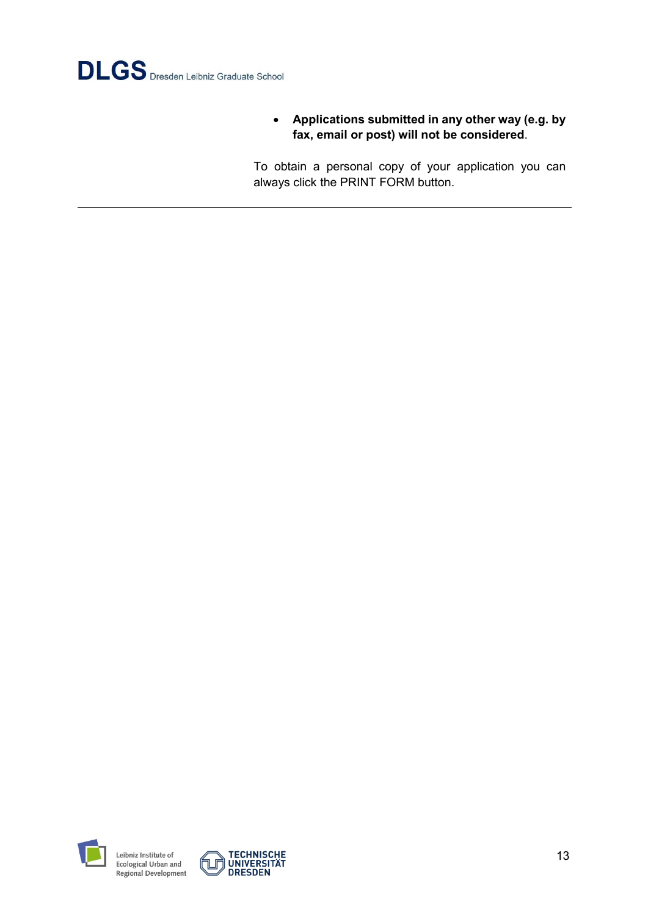

 **Applications submitted in any other way (e.g. by fax, email or post) will not be considered**.

To obtain a personal copy of your application you can always click the PRINT FORM button.



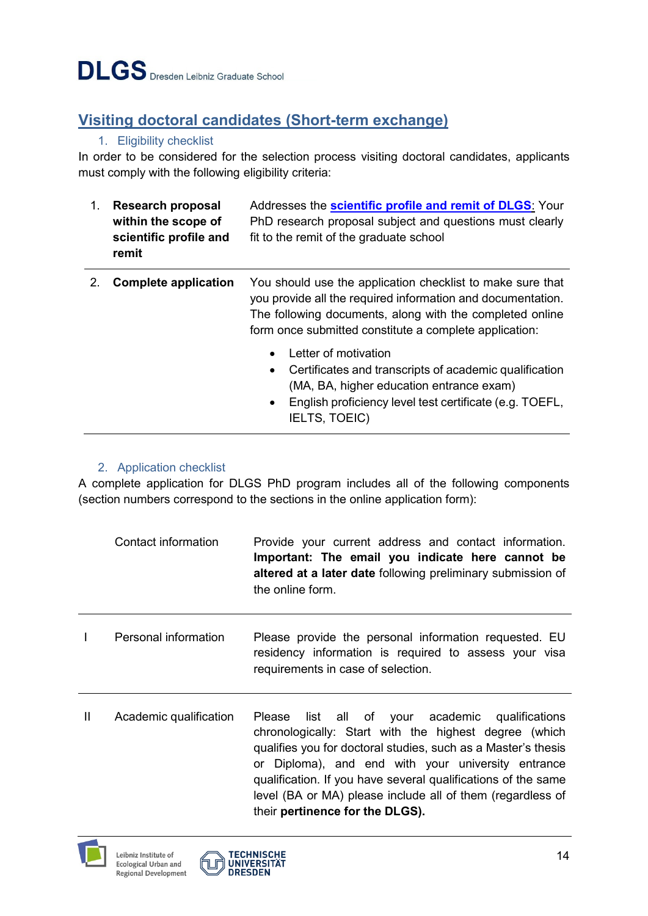# <span id="page-13-0"></span>**Visiting doctoral candidates (Short-term exchange)**

#### 1. Eligibility checklist

<span id="page-13-1"></span>In order to be considered for the selection process visiting doctoral candidates, applicants must comply with the following eligibility criteria:

| $1_{-}$ | <b>Research proposal</b><br>within the scope of<br>scientific profile and<br>remit | Addresses the scientific profile and remit of DLGS: Your<br>PhD research proposal subject and questions must clearly<br>fit to the remit of the graduate school                                                                                 |
|---------|------------------------------------------------------------------------------------|-------------------------------------------------------------------------------------------------------------------------------------------------------------------------------------------------------------------------------------------------|
|         | <b>Complete application</b>                                                        | You should use the application checklist to make sure that<br>you provide all the required information and documentation.<br>The following documents, along with the completed online<br>form once submitted constitute a complete application: |
|         |                                                                                    | Letter of motivation<br>Certificates and transcripts of academic qualification<br>$\bullet$<br>(MA, BA, higher education entrance exam)<br>English proficiency level test certificate (e.g. TOEFL,<br>$\bullet$<br><b>IELTS, TOEIC)</b>         |

#### 2. Application checklist

<span id="page-13-2"></span>A complete application for DLGS PhD program includes all of the following components (section numbers correspond to the sections in the online application form):

|              | Contact information    | Provide your current address and contact information.<br>Important: The email you indicate here cannot be<br>altered at a later date following preliminary submission of<br>the online form.                                                                                                                                                                                                      |
|--------------|------------------------|---------------------------------------------------------------------------------------------------------------------------------------------------------------------------------------------------------------------------------------------------------------------------------------------------------------------------------------------------------------------------------------------------|
| $\mathbf{I}$ | Personal information   | Please provide the personal information requested. EU<br>residency information is required to assess your visa<br>requirements in case of selection.                                                                                                                                                                                                                                              |
| Ш            | Academic qualification | Please list all of your academic qualifications<br>chronologically: Start with the highest degree (which<br>qualifies you for doctoral studies, such as a Master's thesis<br>or Diploma), and end with your university entrance<br>qualification. If you have several qualifications of the same<br>level (BA or MA) please include all of them (regardless of<br>their pertinence for the DLGS). |



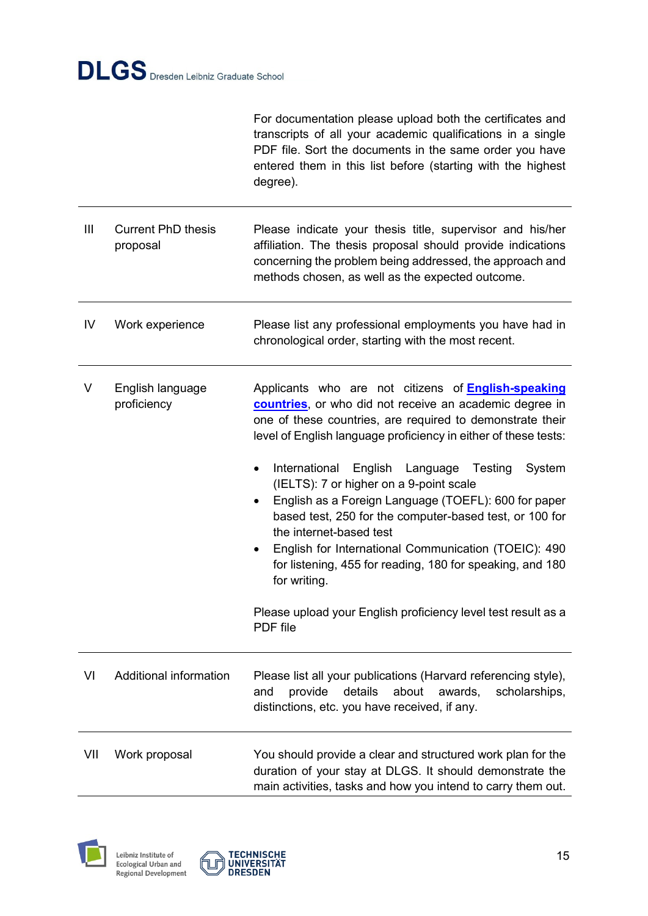|     |                                       | For documentation please upload both the certificates and<br>transcripts of all your academic qualifications in a single<br>PDF file. Sort the documents in the same order you have<br>entered them in this list before (starting with the highest<br>degree).                                                                                                                                                                                                                                                                                                                                                                                                                                                             |
|-----|---------------------------------------|----------------------------------------------------------------------------------------------------------------------------------------------------------------------------------------------------------------------------------------------------------------------------------------------------------------------------------------------------------------------------------------------------------------------------------------------------------------------------------------------------------------------------------------------------------------------------------------------------------------------------------------------------------------------------------------------------------------------------|
| Ш   | <b>Current PhD thesis</b><br>proposal | Please indicate your thesis title, supervisor and his/her<br>affiliation. The thesis proposal should provide indications<br>concerning the problem being addressed, the approach and<br>methods chosen, as well as the expected outcome.                                                                                                                                                                                                                                                                                                                                                                                                                                                                                   |
| IV  | Work experience                       | Please list any professional employments you have had in<br>chronological order, starting with the most recent.                                                                                                                                                                                                                                                                                                                                                                                                                                                                                                                                                                                                            |
| V   | English language<br>proficiency       | Applicants who are not citizens of <b>English-speaking</b><br>countries, or who did not receive an academic degree in<br>one of these countries, are required to demonstrate their<br>level of English language proficiency in either of these tests:<br>International<br>English Language<br>Testing<br>System<br>(IELTS): 7 or higher on a 9-point scale<br>English as a Foreign Language (TOEFL): 600 for paper<br>based test, 250 for the computer-based test, or 100 for<br>the internet-based test<br>English for International Communication (TOEIC): 490<br>for listening, 455 for reading, 180 for speaking, and 180<br>for writing.<br>Please upload your English proficiency level test result as a<br>PDF file |
| VI  | Additional information                | Please list all your publications (Harvard referencing style),<br>about<br>provide<br>details<br>awards,<br>scholarships,<br>and<br>distinctions, etc. you have received, if any.                                                                                                                                                                                                                                                                                                                                                                                                                                                                                                                                          |
| VII | Work proposal                         | You should provide a clear and structured work plan for the<br>duration of your stay at DLGS. It should demonstrate the<br>main activities, tasks and how you intend to carry them out.                                                                                                                                                                                                                                                                                                                                                                                                                                                                                                                                    |



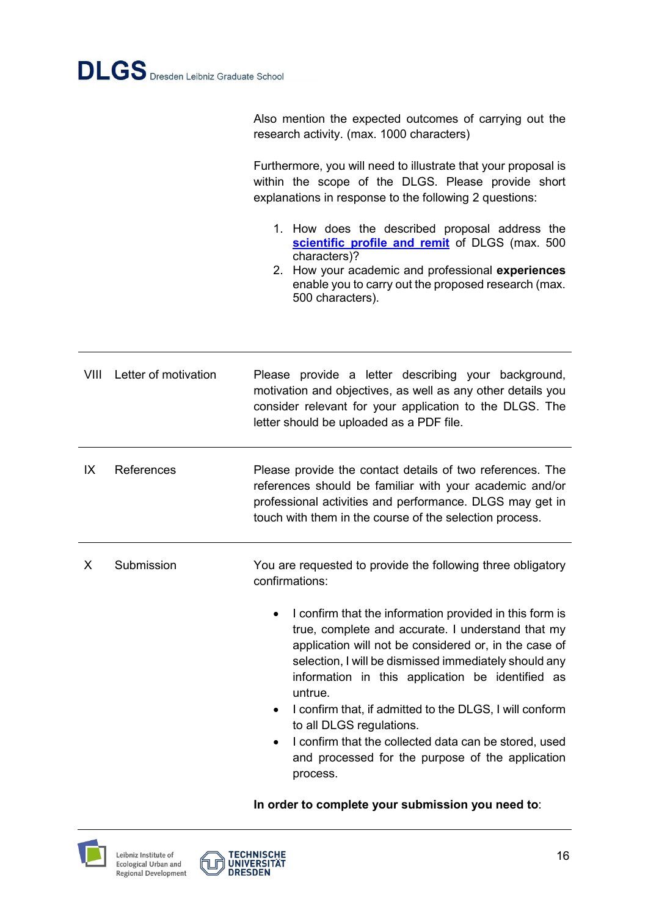Also mention the expected outcomes of carrying out the research activity. (max. 1000 characters)

Furthermore, you will need to illustrate that your proposal is within the scope of the DLGS. Please provide short explanations in response to the following 2 questions:

- 1. How does the described proposal address the **[scientific profile and remit](http://www.dlgs-dresden.de/concept/scientific-profile-and-remit)** of DLGS (max. 500 characters)?
- 2. How your academic and professional **experiences** enable you to carry out the proposed research (max. 500 characters).

VIII Letter of motivation Please provide a letter describing your background, motivation and objectives, as well as any other details you consider relevant for your application to the DLGS. The letter should be uploaded as a PDF file.

IX References Please provide the contact details of two references. The references should be familiar with your academic and/or professional activities and performance. DLGS may get in touch with them in the course of the selection process.

- X Submission You are requested to provide the following three obligatory confirmations:
	- I confirm that the information provided in this form is true, complete and accurate. I understand that my application will not be considered or, in the case of selection, I will be dismissed immediately should any information in this application be identified as untrue.
	- I confirm that, if admitted to the DLGS, I will conform to all DLGS regulations.
	- I confirm that the collected data can be stored, used and processed for the purpose of the application process.

```
In order to complete your submission you need to:
```


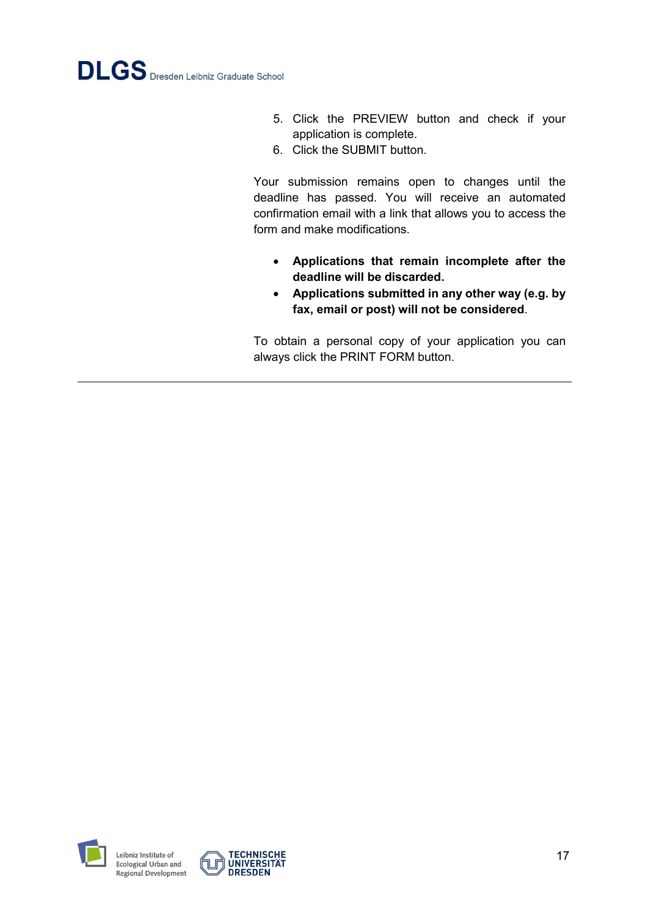- 5. Click the PREVIEW button and check if your application is complete.
- 6. Click the SUBMIT button.

Your submission remains open to changes until the deadline has passed. You will receive an automated confirmation email with a link that allows you to access the form and make modifications.

- **Applications that remain incomplete after the deadline will be discarded.**
- **Applications submitted in any other way (e.g. by fax, email or post) will not be considered**.

To obtain a personal copy of your application you can always click the PRINT FORM button.



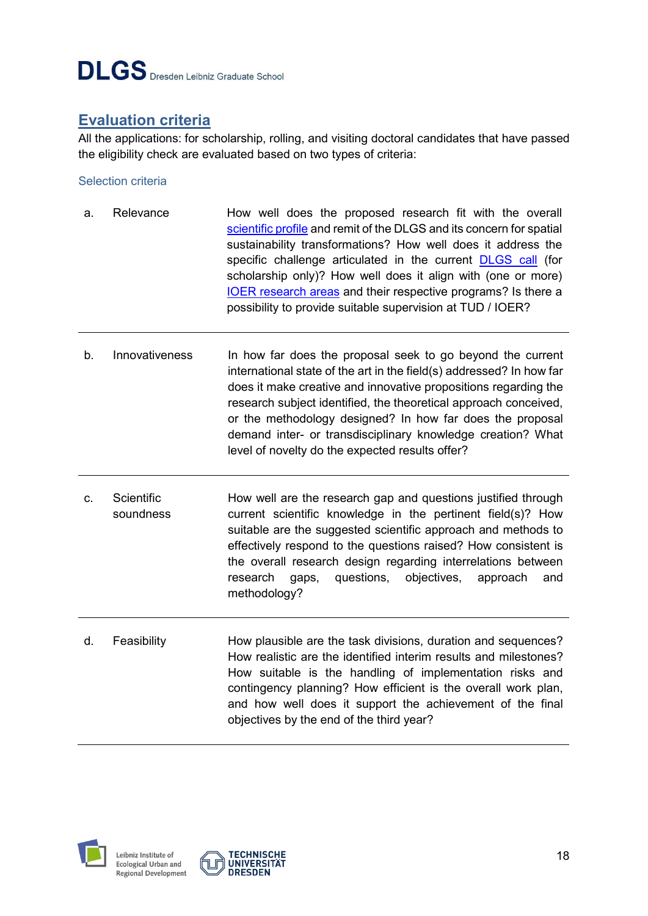

## <span id="page-17-0"></span>**Evaluation criteria**

All the applications: for scholarship, rolling, and visiting doctoral candidates that have passed the eligibility check are evaluated based on two types of criteria:

#### <span id="page-17-1"></span>Selection criteria

- a. Relevance **How well does the proposed research fit with the overall** [scientific profile](http://www.dlgs-dresden.de/scientific-profile-and-remit) and remit of the DLGS and its concern for spatial sustainability transformations? How well does it address the specific challenge articulated in the current [DLGS call](http://www.dlgs-dresden.de/application) (for scholarship only)? How well does it align with (one or more) [IOER research areas](https://www.ioer.de/en/research) and their respective programs? Is there a possibility to provide suitable supervision at TUD / IOER?
- b. Innovativeness In how far does the proposal seek to go beyond the current international state of the art in the field(s) addressed? In how far does it make creative and innovative propositions regarding the research subject identified, the theoretical approach conceived, or the methodology designed? In how far does the proposal demand inter- or transdisciplinary knowledge creation? What level of novelty do the expected results offer?
- c. Scientific soundness How well are the research gap and questions justified through current scientific knowledge in the pertinent field(s)? How suitable are the suggested scientific approach and methods to effectively respond to the questions raised? How consistent is the overall research design regarding interrelations between research gaps, questions, objectives, approach and methodology?
- d. Feasibility How plausible are the task divisions, duration and sequences? How realistic are the identified interim results and milestones? How suitable is the handling of implementation risks and contingency planning? How efficient is the overall work plan, and how well does it support the achievement of the final objectives by the end of the third year?